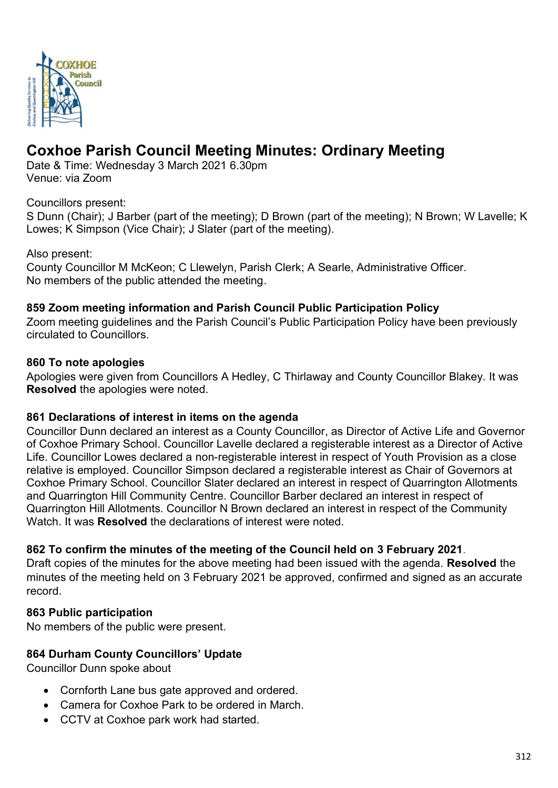

# **Coxhoe Parish Council Meeting Minutes: Ordinary Meeting**

Date & Time: Wednesday 3 March 2021 6.30pm Venue: via Zoom

## Councillors present:

S Dunn (Chair); J Barber (part of the meeting); D Brown (part of the meeting); N Brown; W Lavelle; K Lowes; K Simpson (Vice Chair); J Slater (part of the meeting).

#### Also present:

County Councillor M McKeon; C Llewelyn, Parish Clerk; A Searle, Administrative Officer. No members of the public attended the meeting.

## **859 Zoom meeting information and Parish Council Public Participation Policy**

Zoom meeting guidelines and the Parish Council's Public Participation Policy have been previously circulated to Councillors.

#### **860 To note apologies**

Apologies were given from Councillors A Hedley, C Thirlaway and County Councillor Blakey. It was **Resolved** the apologies were noted.

#### **861 Declarations of interest in items on the agenda**

Councillor Dunn declared an interest as a County Councillor, as Director of Active Life and Governor of Coxhoe Primary School. Councillor Lavelle declared a registerable interest as a Director of Active Life. Councillor Lowes declared a non-registerable interest in respect of Youth Provision as a close relative is employed. Councillor Simpson declared a registerable interest as Chair of Governors at Coxhoe Primary School. Councillor Slater declared an interest in respect of Quarrington Allotments and Quarrington Hill Community Centre. Councillor Barber declared an interest in respect of Quarrington Hill Allotments. Councillor N Brown declared an interest in respect of the Community Watch. It was **Resolved** the declarations of interest were noted.

## **862 To confirm the minutes of the meeting of the Council held on 3 February 2021**.

Draft copies of the minutes for the above meeting had been issued with the agenda. **Resolved** the minutes of the meeting held on 3 February 2021 be approved, confirmed and signed as an accurate record.

## **863 Public participation**

No members of the public were present.

## **864 Durham County Councillors' Update**

Councillor Dunn spoke about

- Cornforth Lane bus gate approved and ordered.
- Camera for Coxhoe Park to be ordered in March.
- CCTV at Coxhoe park work had started.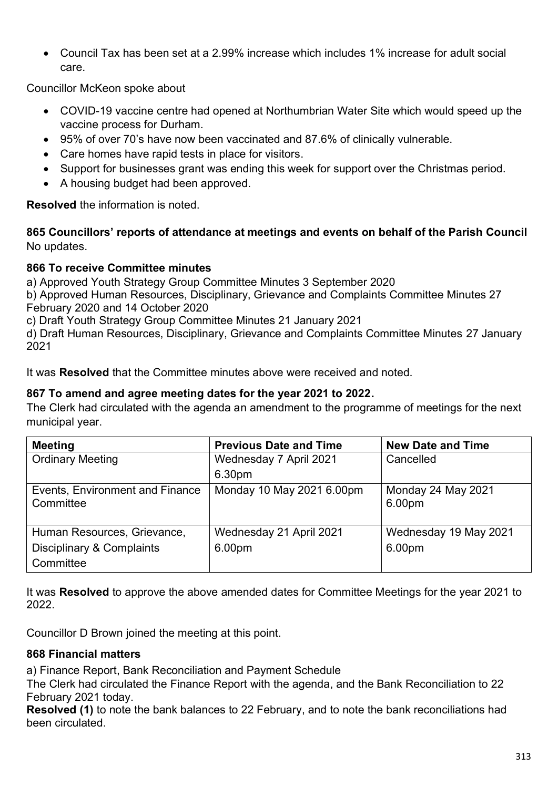• Council Tax has been set at a 2.99% increase which includes 1% increase for adult social care.

Councillor McKeon spoke about

- COVID-19 vaccine centre had opened at Northumbrian Water Site which would speed up the vaccine process for Durham.
- 95% of over 70's have now been vaccinated and 87.6% of clinically vulnerable.
- Care homes have rapid tests in place for visitors.
- Support for businesses grant was ending this week for support over the Christmas period.
- A housing budget had been approved.

**Resolved** the information is noted.

**865 Councillors' reports of attendance at meetings and events on behalf of the Parish Council** No updates.

## **866 To receive Committee minutes**

a) Approved Youth Strategy Group Committee Minutes 3 September 2020

b) Approved Human Resources, Disciplinary, Grievance and Complaints Committee Minutes 27 February 2020 and 14 October 2020

c) Draft Youth Strategy Group Committee Minutes 21 January 2021

d) Draft Human Resources, Disciplinary, Grievance and Complaints Committee Minutes 27 January 2021

It was **Resolved** that the Committee minutes above were received and noted.

## **867 To amend and agree meeting dates for the year 2021 to 2022.**

The Clerk had circulated with the agenda an amendment to the programme of meetings for the next municipal year.

| <b>Meeting</b>                               | <b>Previous Date and Time</b> | <b>New Date and Time</b>     |
|----------------------------------------------|-------------------------------|------------------------------|
| <b>Ordinary Meeting</b>                      | Wednesday 7 April 2021        | Cancelled                    |
|                                              | 6.30pm                        |                              |
| Events, Environment and Finance<br>Committee | Monday 10 May 2021 6.00pm     | Monday 24 May 2021<br>6.00pm |
| Human Resources, Grievance,                  | Wednesday 21 April 2021       | Wednesday 19 May 2021        |
| <b>Disciplinary &amp; Complaints</b>         | 6.00pm                        | 6.00pm                       |
| Committee                                    |                               |                              |

It was **Resolved** to approve the above amended dates for Committee Meetings for the year 2021 to 2022.

Councillor D Brown joined the meeting at this point.

## **868 Financial matters**

a) Finance Report, Bank Reconciliation and Payment Schedule

The Clerk had circulated the Finance Report with the agenda, and the Bank Reconciliation to 22 February 2021 today.

**Resolved (1)** to note the bank balances to 22 February, and to note the bank reconciliations had been circulated.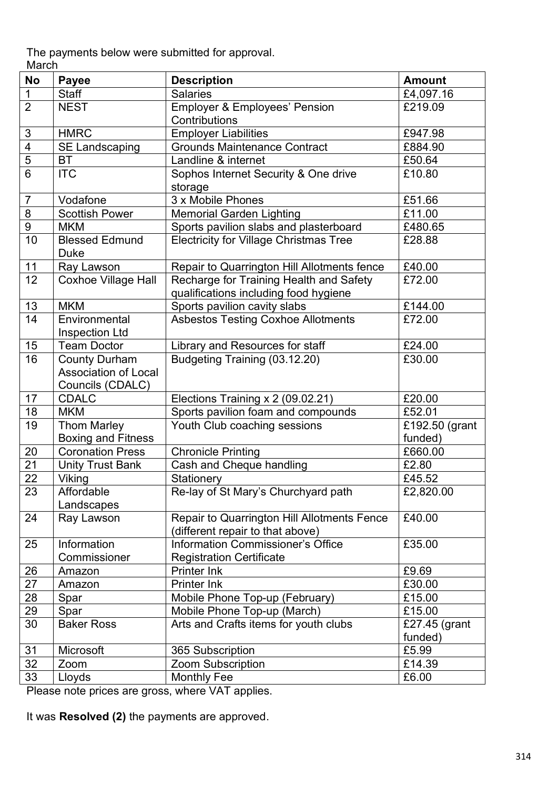The payments below were submitted for approval. March

| <b>No</b>                 | <b>Payee</b>                | <b>Description</b>                                                    | <b>Amount</b>  |
|---------------------------|-----------------------------|-----------------------------------------------------------------------|----------------|
| $\mathbf{1}$              | <b>Staff</b>                | <b>Salaries</b>                                                       | £4,097.16      |
| $\overline{2}$            | <b>NEST</b>                 | <b>Employer &amp; Employees' Pension</b>                              | £219.09        |
|                           |                             | Contributions                                                         |                |
| $\ensuremath{\mathsf{3}}$ | <b>HMRC</b>                 | <b>Employer Liabilities</b>                                           | £947.98        |
| $\overline{\mathbf{4}}$   | <b>SE Landscaping</b>       | <b>Grounds Maintenance Contract</b>                                   | £884.90        |
| $\overline{5}$            | <b>BT</b>                   | Landline & internet                                                   | £50.64         |
| $6\phantom{1}6$           | <b>ITC</b>                  | Sophos Internet Security & One drive                                  | £10.80         |
|                           |                             | storage                                                               |                |
| $\overline{7}$            | Vodafone                    | 3 x Mobile Phones                                                     | £51.66         |
| $\overline{8}$            | <b>Scottish Power</b>       | <b>Memorial Garden Lighting</b>                                       | £11.00         |
| $\overline{9}$            | <b>MKM</b>                  | Sports pavilion slabs and plasterboard                                | £480.65        |
| 10                        | <b>Blessed Edmund</b>       | <b>Electricity for Village Christmas Tree</b>                         | £28.88         |
|                           | <b>Duke</b>                 |                                                                       |                |
| 11                        | Ray Lawson                  | Repair to Quarrington Hill Allotments fence                           | £40.00         |
| 12                        | <b>Coxhoe Village Hall</b>  | Recharge for Training Health and Safety                               | £72.00         |
|                           |                             | qualifications including food hygiene                                 |                |
| 13                        | <b>MKM</b>                  | Sports pavilion cavity slabs                                          | £144.00        |
| 14                        | Environmental               | <b>Asbestos Testing Coxhoe Allotments</b>                             | £72.00         |
|                           | <b>Inspection Ltd</b>       |                                                                       |                |
| 15                        | <b>Team Doctor</b>          | Library and Resources for staff                                       | £24.00         |
| 16                        | <b>County Durham</b>        | Budgeting Training (03.12.20)                                         | £30.00         |
|                           | <b>Association of Local</b> |                                                                       |                |
|                           | Councils (CDALC)            |                                                                       |                |
| 17                        | <b>CDALC</b>                | Elections Training x 2 (09.02.21)                                     | £20.00         |
| 18                        | <b>MKM</b>                  | Sports pavilion foam and compounds                                    | £52.01         |
| 19                        | <b>Thom Marley</b>          | Youth Club coaching sessions                                          | £192.50 (grant |
|                           | <b>Boxing and Fitness</b>   |                                                                       | funded)        |
| 20                        | <b>Coronation Press</b>     | <b>Chronicle Printing</b>                                             | £660.00        |
| 21                        | <b>Unity Trust Bank</b>     | Cash and Cheque handling                                              | £2.80          |
| $\overline{22}$           | <b>Viking</b>               | <b>Stationery</b>                                                     | £45.52         |
| 23                        | Affordable                  | Re-lay of St Mary's Churchyard path                                   | £2,820.00      |
|                           | Landscapes                  |                                                                       | £40.00         |
| 24                        | Ray Lawson                  | Repair to Quarrington Hill Allotments Fence                           |                |
| 25                        | Information                 | (different repair to that above)<br>Information Commissioner's Office | £35.00         |
|                           | Commissioner                |                                                                       |                |
| 26                        | Amazon                      | <b>Registration Certificate</b><br><b>Printer Ink</b>                 | £9.69          |
| 27                        | Amazon                      | Printer Ink                                                           | £30.00         |
|                           |                             |                                                                       | £15.00         |
| 28<br>29                  | Spar<br>Spar                | Mobile Phone Top-up (February)<br>Mobile Phone Top-up (March)         | £15.00         |
| 30                        | <b>Baker Ross</b>           | Arts and Crafts items for youth clubs                                 | £27.45 (grant  |
|                           |                             |                                                                       | funded)        |
| 31                        | Microsoft                   | 365 Subscription                                                      | £5.99          |
| 32                        | Zoom                        | Zoom Subscription                                                     | £14.39         |
| 33                        | Lloyds                      | <b>Monthly Fee</b>                                                    | £6.00          |
|                           |                             |                                                                       |                |

Please note prices are gross, where VAT applies.

It was **Resolved (2)** the payments are approved.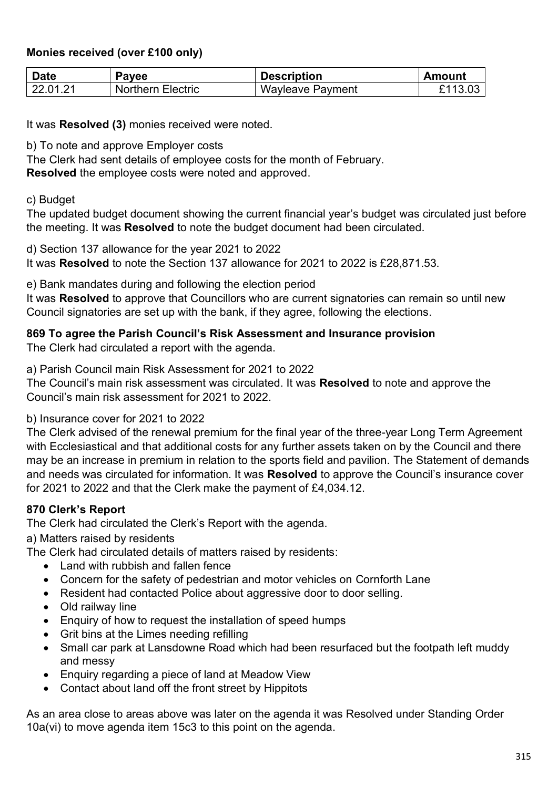## **Monies received (over £100 only)**

| <b>Date</b> | <b>Payee</b>      | <b>Description</b> | <b>Amount</b> |
|-------------|-------------------|--------------------|---------------|
| 22.01.21    | Northern Electric | Wayleave Payment   | £113.03       |

It was **Resolved (3)** monies received were noted.

b) To note and approve Employer costs

The Clerk had sent details of employee costs for the month of February.

**Resolved** the employee costs were noted and approved.

c) Budget

The updated budget document showing the current financial year's budget was circulated just before the meeting. It was **Resolved** to note the budget document had been circulated.

d) Section 137 allowance for the year 2021 to 2022 It was **Resolved** to note the Section 137 allowance for 2021 to 2022 is £28,871.53.

e) Bank mandates during and following the election period

It was **Resolved** to approve that Councillors who are current signatories can remain so until new Council signatories are set up with the bank, if they agree, following the elections.

## **869 To agree the Parish Council's Risk Assessment and Insurance provision**

The Clerk had circulated a report with the agenda.

a) Parish Council main Risk Assessment for 2021 to 2022

The Council's main risk assessment was circulated. It was **Resolved** to note and approve the Council's main risk assessment for 2021 to 2022.

## b) Insurance cover for 2021 to 2022

The Clerk advised of the renewal premium for the final year of the three-year Long Term Agreement with Ecclesiastical and that additional costs for any further assets taken on by the Council and there may be an increase in premium in relation to the sports field and pavilion. The Statement of demands and needs was circulated for information. It was **Resolved** to approve the Council's insurance cover for 2021 to 2022 and that the Clerk make the payment of £4,034.12.

## **870 Clerk's Report**

The Clerk had circulated the Clerk's Report with the agenda.

a) Matters raised by residents

The Clerk had circulated details of matters raised by residents:

- Land with rubbish and fallen fence
- Concern for the safety of pedestrian and motor vehicles on Cornforth Lane
- Resident had contacted Police about aggressive door to door selling.
- Old railway line
- Enquiry of how to request the installation of speed humps
- Grit bins at the Limes needing refilling
- Small car park at Lansdowne Road which had been resurfaced but the footpath left muddy and messy
- Enquiry regarding a piece of land at Meadow View
- Contact about land off the front street by Hippitots

As an area close to areas above was later on the agenda it was Resolved under Standing Order 10a(vi) to move agenda item 15c3 to this point on the agenda.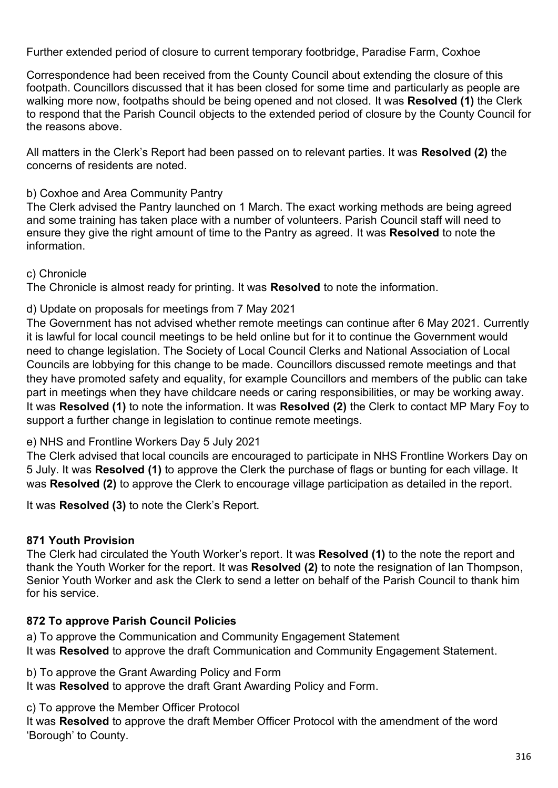Further extended period of closure to current temporary footbridge, Paradise Farm, Coxhoe

Correspondence had been received from the County Council about extending the closure of this footpath. Councillors discussed that it has been closed for some time and particularly as people are walking more now, footpaths should be being opened and not closed. It was **Resolved (1)** the Clerk to respond that the Parish Council objects to the extended period of closure by the County Council for the reasons above.

All matters in the Clerk's Report had been passed on to relevant parties. It was **Resolved (2)** the concerns of residents are noted.

## b) Coxhoe and Area Community Pantry

The Clerk advised the Pantry launched on 1 March. The exact working methods are being agreed and some training has taken place with a number of volunteers. Parish Council staff will need to ensure they give the right amount of time to the Pantry as agreed. It was **Resolved** to note the information.

## c) Chronicle

The Chronicle is almost ready for printing. It was **Resolved** to note the information.

## d) Update on proposals for meetings from 7 May 2021

The Government has not advised whether remote meetings can continue after 6 May 2021. Currently it is lawful for local council meetings to be held online but for it to continue the Government would need to change legislation. The Society of Local Council Clerks and National Association of Local Councils are lobbying for this change to be made. Councillors discussed remote meetings and that they have promoted safety and equality, for example Councillors and members of the public can take part in meetings when they have childcare needs or caring responsibilities, or may be working away. It was **Resolved (1)** to note the information. It was **Resolved (2)** the Clerk to contact MP Mary Foy to support a further change in legislation to continue remote meetings.

# e) NHS and Frontline Workers Day 5 July 2021

The Clerk advised that local councils are encouraged to participate in NHS Frontline Workers Day on 5 July. It was **Resolved (1)** to approve the Clerk the purchase of flags or bunting for each village. It was **Resolved (2)** to approve the Clerk to encourage village participation as detailed in the report.

It was **Resolved (3)** to note the Clerk's Report.

# **871 Youth Provision**

The Clerk had circulated the Youth Worker's report. It was **Resolved (1)** to the note the report and thank the Youth Worker for the report. It was **Resolved (2)** to note the resignation of Ian Thompson, Senior Youth Worker and ask the Clerk to send a letter on behalf of the Parish Council to thank him for his service.

# **872 To approve Parish Council Policies**

a) To approve the Communication and Community Engagement Statement It was **Resolved** to approve the draft Communication and Community Engagement Statement.

b) To approve the Grant Awarding Policy and Form

It was **Resolved** to approve the draft Grant Awarding Policy and Form.

c) To approve the Member Officer Protocol

It was **Resolved** to approve the draft Member Officer Protocol with the amendment of the word 'Borough' to County.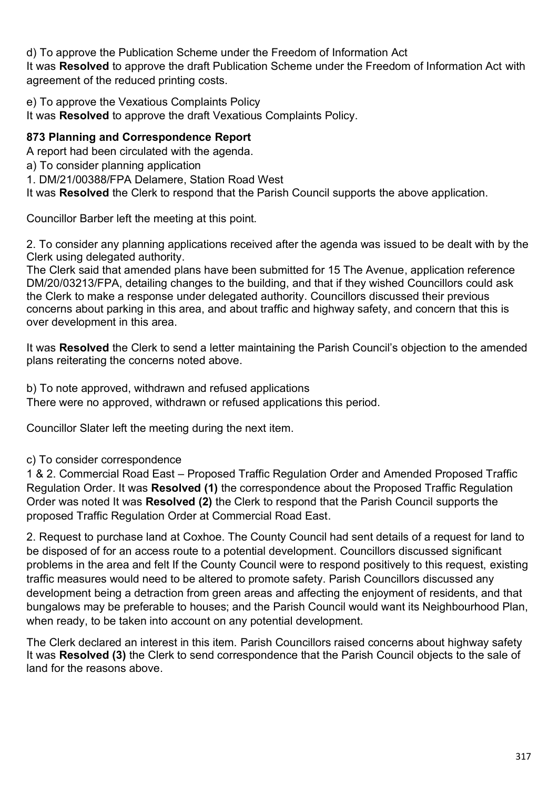d) To approve the Publication Scheme under the Freedom of Information Act It was **Resolved** to approve the draft Publication Scheme under the Freedom of Information Act with agreement of the reduced printing costs.

e) To approve the Vexatious Complaints Policy

It was **Resolved** to approve the draft Vexatious Complaints Policy.

## **873 Planning and Correspondence Report**

A report had been circulated with the agenda.

a) To consider planning application

1. DM/21/00388/FPA Delamere, Station Road West

It was **Resolved** the Clerk to respond that the Parish Council supports the above application.

Councillor Barber left the meeting at this point.

2. To consider any planning applications received after the agenda was issued to be dealt with by the Clerk using delegated authority.

The Clerk said that amended plans have been submitted for 15 The Avenue, application reference DM/20/03213/FPA, detailing changes to the building, and that if they wished Councillors could ask the Clerk to make a response under delegated authority. Councillors discussed their previous concerns about parking in this area, and about traffic and highway safety, and concern that this is over development in this area.

It was **Resolved** the Clerk to send a letter maintaining the Parish Council's objection to the amended plans reiterating the concerns noted above.

b) To note approved, withdrawn and refused applications

There were no approved, withdrawn or refused applications this period.

Councillor Slater left the meeting during the next item.

c) To consider correspondence

1 & 2. Commercial Road East – Proposed Traffic Regulation Order and Amended Proposed Traffic Regulation Order. It was **Resolved (1)** the correspondence about the Proposed Traffic Regulation Order was noted It was **Resolved (2)** the Clerk to respond that the Parish Council supports the proposed Traffic Regulation Order at Commercial Road East.

2. Request to purchase land at Coxhoe. The County Council had sent details of a request for land to be disposed of for an access route to a potential development. Councillors discussed significant problems in the area and felt If the County Council were to respond positively to this request, existing traffic measures would need to be altered to promote safety. Parish Councillors discussed any development being a detraction from green areas and affecting the enjoyment of residents, and that bungalows may be preferable to houses; and the Parish Council would want its Neighbourhood Plan, when ready, to be taken into account on any potential development.

The Clerk declared an interest in this item. Parish Councillors raised concerns about highway safety It was **Resolved (3)** the Clerk to send correspondence that the Parish Council objects to the sale of land for the reasons above.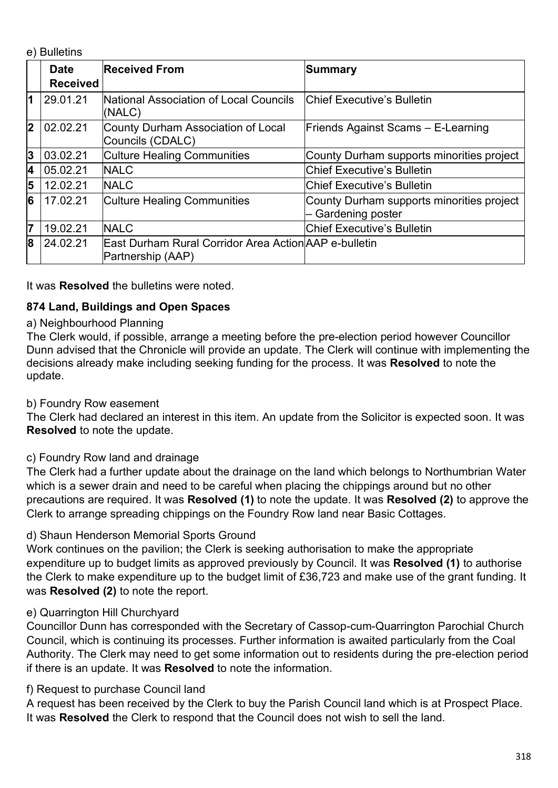e) Bulletins

|    | <b>Date</b><br><b>Received</b> | <b>Received From</b>                                                        | <b>Summary</b>                                                |
|----|--------------------------------|-----------------------------------------------------------------------------|---------------------------------------------------------------|
| 1  | 29.01.21                       | National Association of Local Councils<br>(NALC)                            | <b>Chief Executive's Bulletin</b>                             |
| 2  | 02.02.21                       | County Durham Association of Local<br>Councils (CDALC)                      | Friends Against Scams - E-Learning                            |
| 3  | 03.02.21                       | <b>Culture Healing Communities</b>                                          | County Durham supports minorities project                     |
| 4  | 05.02.21                       | <b>NALC</b>                                                                 | <b>Chief Executive's Bulletin</b>                             |
| 5  | 12.02.21                       | <b>NALC</b>                                                                 | <b>Chief Executive's Bulletin</b>                             |
| 6  | 17.02.21                       | <b>Culture Healing Communities</b>                                          | County Durham supports minorities project<br>Gardening poster |
| 17 | 19.02.21                       | <b>NALC</b>                                                                 | <b>Chief Executive's Bulletin</b>                             |
| 8  | 24.02.21                       | East Durham Rural Corridor Area Action AAP e-bulletin<br> Partnership (AAP) |                                                               |

It was **Resolved** the bulletins were noted.

# **874 Land, Buildings and Open Spaces**

## a) Neighbourhood Planning

The Clerk would, if possible, arrange a meeting before the pre-election period however Councillor Dunn advised that the Chronicle will provide an update. The Clerk will continue with implementing the decisions already make including seeking funding for the process. It was **Resolved** to note the update.

## b) Foundry Row easement

The Clerk had declared an interest in this item. An update from the Solicitor is expected soon. It was **Resolved** to note the update.

# c) Foundry Row land and drainage

The Clerk had a further update about the drainage on the land which belongs to Northumbrian Water which is a sewer drain and need to be careful when placing the chippings around but no other precautions are required. It was **Resolved (1)** to note the update. It was **Resolved (2)** to approve the Clerk to arrange spreading chippings on the Foundry Row land near Basic Cottages.

## d) Shaun Henderson Memorial Sports Ground

Work continues on the pavilion; the Clerk is seeking authorisation to make the appropriate expenditure up to budget limits as approved previously by Council. It was **Resolved (1)** to authorise the Clerk to make expenditure up to the budget limit of £36,723 and make use of the grant funding. It was **Resolved (2)** to note the report.

# e) Quarrington Hill Churchyard

Councillor Dunn has corresponded with the Secretary of Cassop-cum-Quarrington Parochial Church Council, which is continuing its processes. Further information is awaited particularly from the Coal Authority. The Clerk may need to get some information out to residents during the pre-election period if there is an update. It was **Resolved** to note the information.

## f) Request to purchase Council land

A request has been received by the Clerk to buy the Parish Council land which is at Prospect Place. It was **Resolved** the Clerk to respond that the Council does not wish to sell the land.